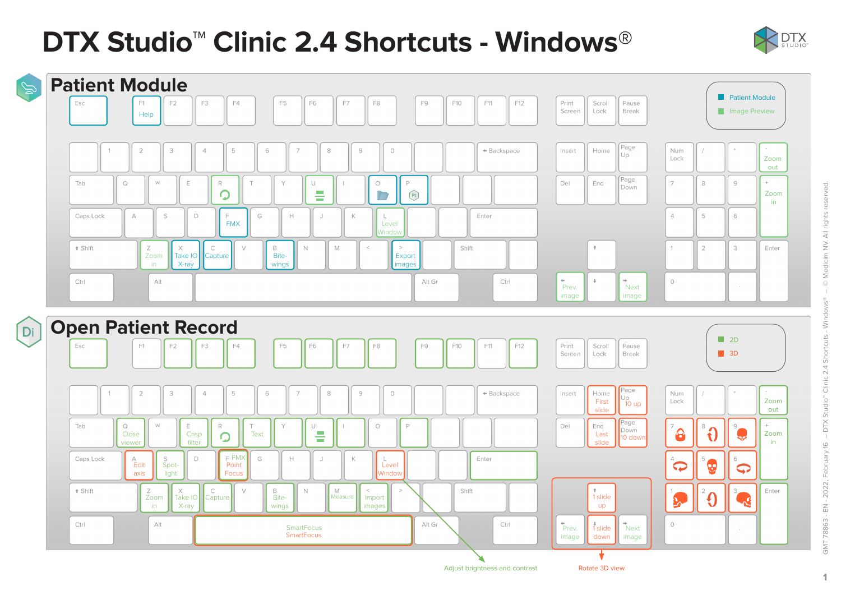# **DTX Studio™ Clinic 2.4 Shortcuts - Windows**®